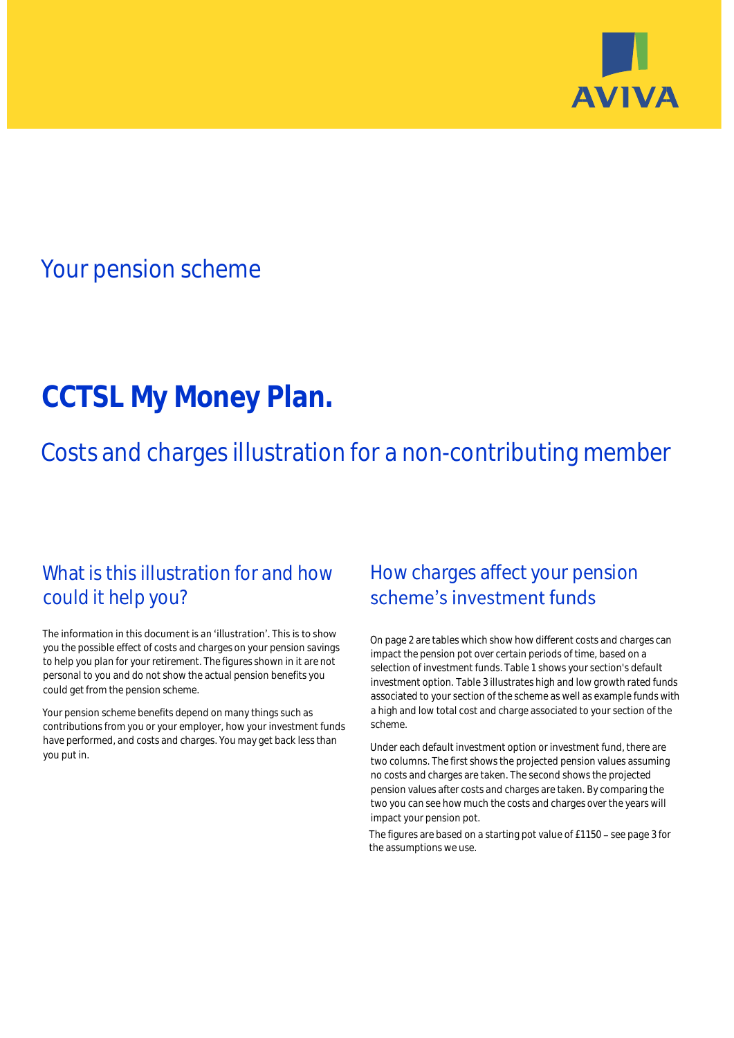

## Your pension scheme

# **CCTSL My Money Plan.**

Costs and charges illustration for a non-contributing member

### What is this illustration for and how could it help you?

#### The information in this document is an 'illustration'. This is to show you the possible effect of costs and charges on your pension savings to help you plan for your retirement. The figures shown in it are not personal to you and do not show the actual pension benefits you could get from the pension scheme.

Your pension scheme benefits depend on many things such as contributions from you or your employer, how your investment funds have performed, and costs and charges. You may get back less than you put in.

### How charges affect your pension scheme's investment funds

On page 2 are tables which show how different costs and charges can impact the pension pot over certain periods of time, based on a selection of investment funds. Table 1 shows your section's default investment option. Table 3 illustrates high and low growth rated funds associated to your section of the scheme as well as example funds with a high and low total cost and charge associated to your section of the scheme.

Under each default investment option or investment fund, there are two columns. The first shows the projected pension values assuming no costs and charges are taken. The second shows the projected pension values after costs and charges are taken. By comparing the two you can see how much the costs and charges over the years will impact your pension pot.

The figures are based on a starting pot value of  $£1150 -$  see page 3 for the assumptions we use.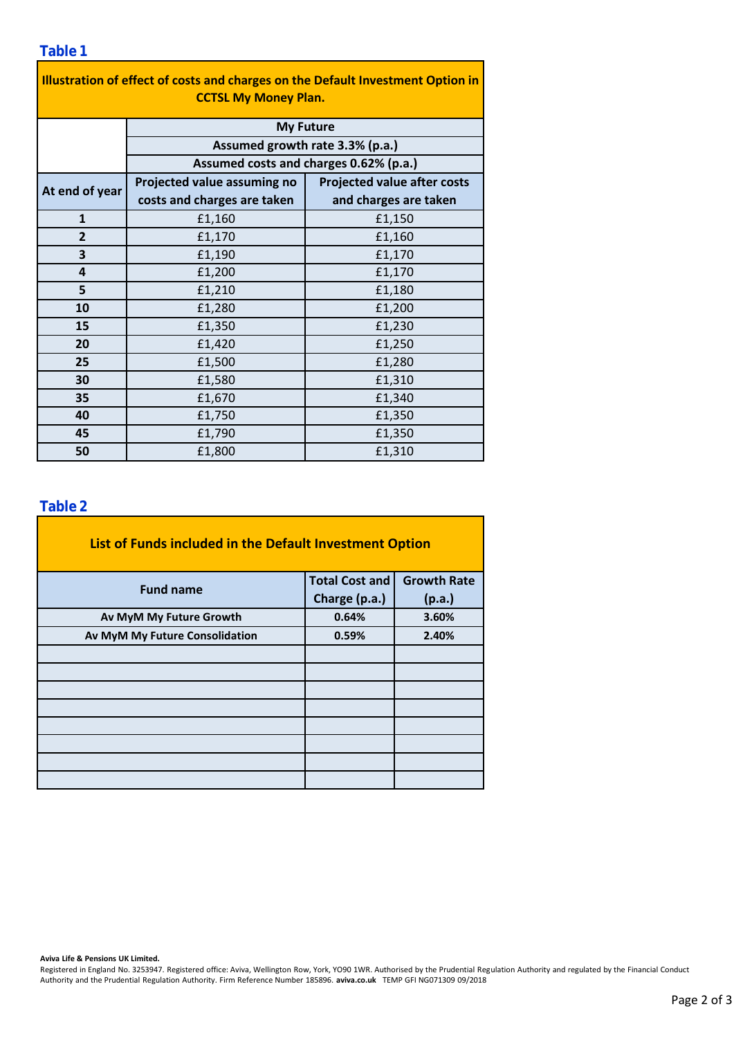| Illustration of effect of costs and charges on the Default Investment Option in<br><b>CCTSL My Money Plan.</b> |                                        |                                    |  |  |  |  |  |  |
|----------------------------------------------------------------------------------------------------------------|----------------------------------------|------------------------------------|--|--|--|--|--|--|
|                                                                                                                | <b>My Future</b>                       |                                    |  |  |  |  |  |  |
|                                                                                                                | Assumed growth rate 3.3% (p.a.)        |                                    |  |  |  |  |  |  |
|                                                                                                                | Assumed costs and charges 0.62% (p.a.) |                                    |  |  |  |  |  |  |
| At end of year                                                                                                 | Projected value assuming no            | <b>Projected value after costs</b> |  |  |  |  |  |  |
|                                                                                                                | costs and charges are taken            | and charges are taken              |  |  |  |  |  |  |
| $\mathbf{1}$                                                                                                   | £1,160                                 | £1,150                             |  |  |  |  |  |  |
| $\overline{2}$                                                                                                 | £1,170                                 | £1,160                             |  |  |  |  |  |  |
| 3                                                                                                              | £1,190                                 | £1,170                             |  |  |  |  |  |  |
| 4                                                                                                              | £1,200                                 | £1,170                             |  |  |  |  |  |  |
| 5                                                                                                              | £1,210                                 | £1,180                             |  |  |  |  |  |  |
| 10                                                                                                             | £1,280                                 | £1,200                             |  |  |  |  |  |  |
| 15                                                                                                             | £1,350                                 | £1,230                             |  |  |  |  |  |  |
| 20                                                                                                             | £1,420                                 | £1,250                             |  |  |  |  |  |  |
| 25                                                                                                             | £1,500                                 | £1,280                             |  |  |  |  |  |  |
| 30                                                                                                             | £1,580                                 | £1,310                             |  |  |  |  |  |  |
| 35                                                                                                             | £1,670                                 | £1,340                             |  |  |  |  |  |  |
| 40                                                                                                             | £1,750                                 | £1,350                             |  |  |  |  |  |  |
| 45                                                                                                             | £1,790                                 | £1,350                             |  |  |  |  |  |  |
| 50                                                                                                             | £1,800                                 | £1,310                             |  |  |  |  |  |  |

#### **Table 2**

| List of Funds included in the Default Investment Option |                       |                    |  |  |  |  |  |  |
|---------------------------------------------------------|-----------------------|--------------------|--|--|--|--|--|--|
| <b>Fund name</b>                                        | <b>Total Cost and</b> | <b>Growth Rate</b> |  |  |  |  |  |  |
|                                                         | Charge (p.a.)         | (p.a.)             |  |  |  |  |  |  |
| Av MyM My Future Growth                                 | 0.64%                 | 3.60%              |  |  |  |  |  |  |
| Av MyM My Future Consolidation                          | 0.59%                 | 2.40%              |  |  |  |  |  |  |
|                                                         |                       |                    |  |  |  |  |  |  |
|                                                         |                       |                    |  |  |  |  |  |  |
|                                                         |                       |                    |  |  |  |  |  |  |
|                                                         |                       |                    |  |  |  |  |  |  |
|                                                         |                       |                    |  |  |  |  |  |  |
|                                                         |                       |                    |  |  |  |  |  |  |
|                                                         |                       |                    |  |  |  |  |  |  |
|                                                         |                       |                    |  |  |  |  |  |  |

**Aviva Life & Pensions UK Limited.**

Registered in England No. 3253947. Registered office: Aviva, Wellington Row, York, YO90 1WR. Authorised by the Prudential Regulation Authority and regulated by the Financial Conduct Authority and the Prudential Regulation Authority. Firm Reference Number 185896. **aviva.co.uk** TEMP GFI NG071309 09/2018